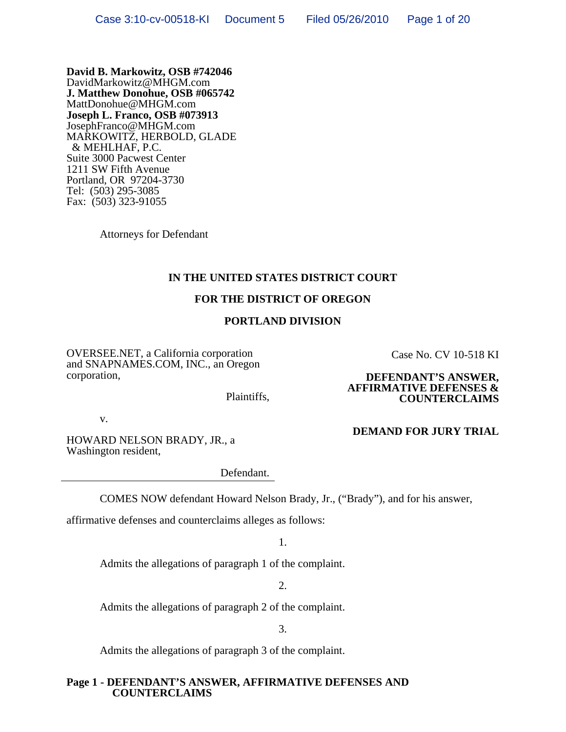**David B. Markowitz, OSB #742046**  DavidMarkowitz@MHGM.com **J. Matthew Donohue, OSB #065742**  MattDonohue@MHGM.com **Joseph L. Franco, OSB #073913**  JosephFranco@MHGM.com MARKOWITZ, HERBOLD, GLADE & MEHLHAF, P.C. Suite 3000 Pacwest Center 1211 SW Fifth Avenue Portland, OR 97204-3730 Tel: (503) 295-3085 Fax: (503) 323-91055

Attorneys for Defendant

### **IN THE UNITED STATES DISTRICT COURT**

### **FOR THE DISTRICT OF OREGON**

### **PORTLAND DIVISION**

OVERSEE.NET, a California corporation and SNAPNAMES.COM, INC., an Oregon corporation,

Case No. CV 10-518 KI

#### **DEFENDANT'S ANSWER, AFFIRMATIVE DEFENSES & COUNTERCLAIMS**

v.

HOWARD NELSON BRADY, JR., a Washington resident,

Defendant.

Plaintiffs,

COMES NOW defendant Howard Nelson Brady, Jr., ("Brady"), and for his answer,

affirmative defenses and counterclaims alleges as follows:

1.

Admits the allegations of paragraph 1 of the complaint.

2.

Admits the allegations of paragraph 2 of the complaint.

3.

Admits the allegations of paragraph 3 of the complaint.

### **Page 1 - DEFENDANT'S ANSWER, AFFIRMATIVE DEFENSES AND COUNTERCLAIMS**

### **DEMAND FOR JURY TRIAL**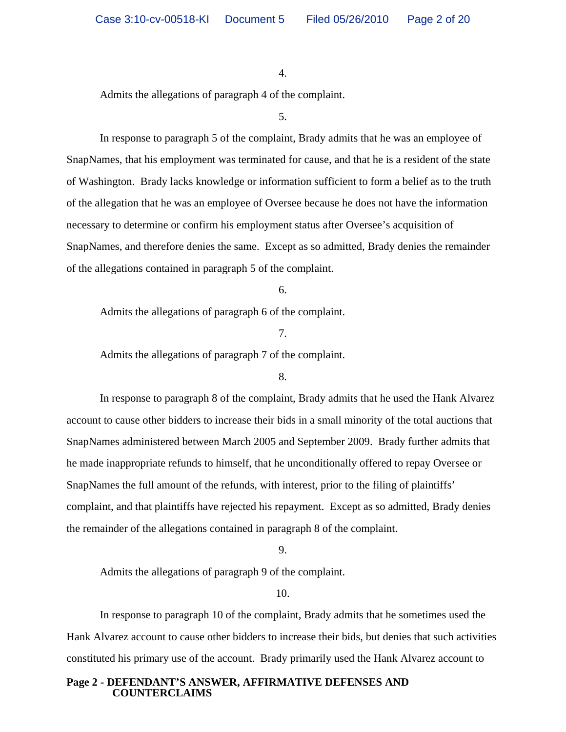Admits the allegations of paragraph 4 of the complaint.

5.

In response to paragraph 5 of the complaint, Brady admits that he was an employee of SnapNames, that his employment was terminated for cause, and that he is a resident of the state of Washington. Brady lacks knowledge or information sufficient to form a belief as to the truth of the allegation that he was an employee of Oversee because he does not have the information necessary to determine or confirm his employment status after Oversee's acquisition of SnapNames, and therefore denies the same. Except as so admitted, Brady denies the remainder of the allegations contained in paragraph 5 of the complaint.

6.

Admits the allegations of paragraph 6 of the complaint.

7.

Admits the allegations of paragraph 7 of the complaint.

### 8.

In response to paragraph 8 of the complaint, Brady admits that he used the Hank Alvarez account to cause other bidders to increase their bids in a small minority of the total auctions that SnapNames administered between March 2005 and September 2009. Brady further admits that he made inappropriate refunds to himself, that he unconditionally offered to repay Oversee or SnapNames the full amount of the refunds, with interest, prior to the filing of plaintiffs' complaint, and that plaintiffs have rejected his repayment. Except as so admitted, Brady denies the remainder of the allegations contained in paragraph 8 of the complaint.

9.

Admits the allegations of paragraph 9 of the complaint.

10.

In response to paragraph 10 of the complaint, Brady admits that he sometimes used the Hank Alvarez account to cause other bidders to increase their bids, but denies that such activities constituted his primary use of the account. Brady primarily used the Hank Alvarez account to

### **Page 2 - DEFENDANT'S ANSWER, AFFIRMATIVE DEFENSES AND COUNTERCLAIMS**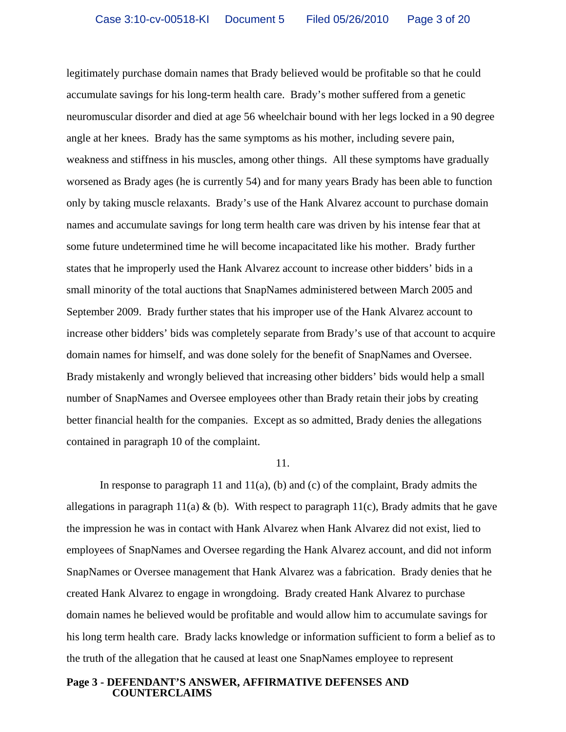legitimately purchase domain names that Brady believed would be profitable so that he could accumulate savings for his long-term health care. Brady's mother suffered from a genetic neuromuscular disorder and died at age 56 wheelchair bound with her legs locked in a 90 degree angle at her knees. Brady has the same symptoms as his mother, including severe pain, weakness and stiffness in his muscles, among other things. All these symptoms have gradually worsened as Brady ages (he is currently 54) and for many years Brady has been able to function only by taking muscle relaxants. Brady's use of the Hank Alvarez account to purchase domain names and accumulate savings for long term health care was driven by his intense fear that at some future undetermined time he will become incapacitated like his mother. Brady further states that he improperly used the Hank Alvarez account to increase other bidders' bids in a small minority of the total auctions that SnapNames administered between March 2005 and September 2009. Brady further states that his improper use of the Hank Alvarez account to increase other bidders' bids was completely separate from Brady's use of that account to acquire domain names for himself, and was done solely for the benefit of SnapNames and Oversee. Brady mistakenly and wrongly believed that increasing other bidders' bids would help a small number of SnapNames and Oversee employees other than Brady retain their jobs by creating better financial health for the companies. Except as so admitted, Brady denies the allegations contained in paragraph 10 of the complaint.

#### 11.

In response to paragraph 11 and 11(a), (b) and (c) of the complaint, Brady admits the allegations in paragraph 11(a)  $\&$  (b). With respect to paragraph 11(c), Brady admits that he gave the impression he was in contact with Hank Alvarez when Hank Alvarez did not exist, lied to employees of SnapNames and Oversee regarding the Hank Alvarez account, and did not inform SnapNames or Oversee management that Hank Alvarez was a fabrication. Brady denies that he created Hank Alvarez to engage in wrongdoing. Brady created Hank Alvarez to purchase domain names he believed would be profitable and would allow him to accumulate savings for his long term health care. Brady lacks knowledge or information sufficient to form a belief as to the truth of the allegation that he caused at least one SnapNames employee to represent

### **Page 3 - DEFENDANT'S ANSWER, AFFIRMATIVE DEFENSES AND COUNTERCLAIMS**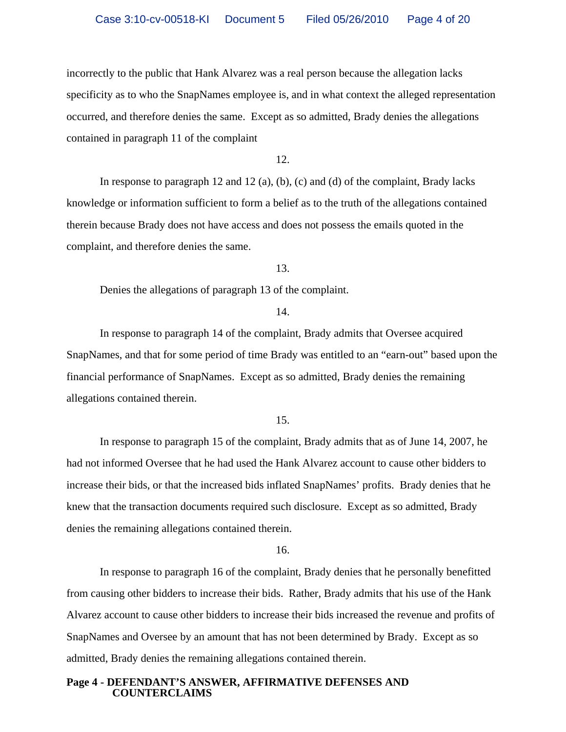incorrectly to the public that Hank Alvarez was a real person because the allegation lacks specificity as to who the SnapNames employee is, and in what context the alleged representation occurred, and therefore denies the same. Except as so admitted, Brady denies the allegations contained in paragraph 11 of the complaint

12.

In response to paragraph 12 and 12 (a), (b), (c) and (d) of the complaint, Brady lacks knowledge or information sufficient to form a belief as to the truth of the allegations contained therein because Brady does not have access and does not possess the emails quoted in the complaint, and therefore denies the same.

13.

Denies the allegations of paragraph 13 of the complaint.

14.

In response to paragraph 14 of the complaint, Brady admits that Oversee acquired SnapNames, and that for some period of time Brady was entitled to an "earn-out" based upon the financial performance of SnapNames. Except as so admitted, Brady denies the remaining allegations contained therein.

15.

In response to paragraph 15 of the complaint, Brady admits that as of June 14, 2007, he had not informed Oversee that he had used the Hank Alvarez account to cause other bidders to increase their bids, or that the increased bids inflated SnapNames' profits. Brady denies that he knew that the transaction documents required such disclosure. Except as so admitted, Brady denies the remaining allegations contained therein.

16.

In response to paragraph 16 of the complaint, Brady denies that he personally benefitted from causing other bidders to increase their bids. Rather, Brady admits that his use of the Hank Alvarez account to cause other bidders to increase their bids increased the revenue and profits of SnapNames and Oversee by an amount that has not been determined by Brady. Except as so admitted, Brady denies the remaining allegations contained therein.

### **Page 4 - DEFENDANT'S ANSWER, AFFIRMATIVE DEFENSES AND COUNTERCLAIMS**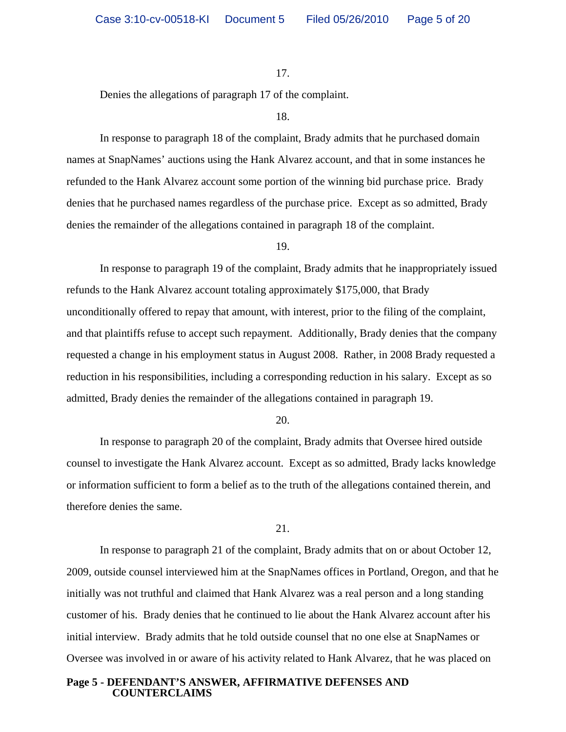Denies the allegations of paragraph 17 of the complaint.

#### 18.

In response to paragraph 18 of the complaint, Brady admits that he purchased domain names at SnapNames' auctions using the Hank Alvarez account, and that in some instances he refunded to the Hank Alvarez account some portion of the winning bid purchase price. Brady denies that he purchased names regardless of the purchase price. Except as so admitted, Brady denies the remainder of the allegations contained in paragraph 18 of the complaint.

#### 19.

In response to paragraph 19 of the complaint, Brady admits that he inappropriately issued refunds to the Hank Alvarez account totaling approximately \$175,000, that Brady unconditionally offered to repay that amount, with interest, prior to the filing of the complaint, and that plaintiffs refuse to accept such repayment. Additionally, Brady denies that the company requested a change in his employment status in August 2008. Rather, in 2008 Brady requested a reduction in his responsibilities, including a corresponding reduction in his salary. Except as so admitted, Brady denies the remainder of the allegations contained in paragraph 19.

20.

In response to paragraph 20 of the complaint, Brady admits that Oversee hired outside counsel to investigate the Hank Alvarez account. Except as so admitted, Brady lacks knowledge or information sufficient to form a belief as to the truth of the allegations contained therein, and therefore denies the same.

21.

In response to paragraph 21 of the complaint, Brady admits that on or about October 12, 2009, outside counsel interviewed him at the SnapNames offices in Portland, Oregon, and that he initially was not truthful and claimed that Hank Alvarez was a real person and a long standing customer of his. Brady denies that he continued to lie about the Hank Alvarez account after his initial interview. Brady admits that he told outside counsel that no one else at SnapNames or Oversee was involved in or aware of his activity related to Hank Alvarez, that he was placed on

### **Page 5 - DEFENDANT'S ANSWER, AFFIRMATIVE DEFENSES AND COUNTERCLAIMS**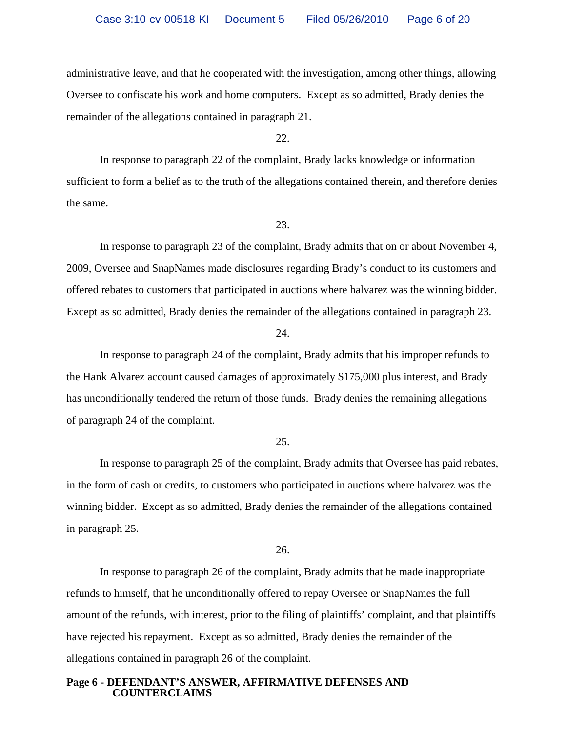administrative leave, and that he cooperated with the investigation, among other things, allowing Oversee to confiscate his work and home computers. Except as so admitted, Brady denies the remainder of the allegations contained in paragraph 21.

22.

In response to paragraph 22 of the complaint, Brady lacks knowledge or information sufficient to form a belief as to the truth of the allegations contained therein, and therefore denies the same.

23.

In response to paragraph 23 of the complaint, Brady admits that on or about November 4, 2009, Oversee and SnapNames made disclosures regarding Brady's conduct to its customers and offered rebates to customers that participated in auctions where halvarez was the winning bidder. Except as so admitted, Brady denies the remainder of the allegations contained in paragraph 23.

24.

In response to paragraph 24 of the complaint, Brady admits that his improper refunds to the Hank Alvarez account caused damages of approximately \$175,000 plus interest, and Brady has unconditionally tendered the return of those funds. Brady denies the remaining allegations of paragraph 24 of the complaint.

#### 25.

In response to paragraph 25 of the complaint, Brady admits that Oversee has paid rebates, in the form of cash or credits, to customers who participated in auctions where halvarez was the winning bidder. Except as so admitted, Brady denies the remainder of the allegations contained in paragraph 25.

26.

In response to paragraph 26 of the complaint, Brady admits that he made inappropriate refunds to himself, that he unconditionally offered to repay Oversee or SnapNames the full amount of the refunds, with interest, prior to the filing of plaintiffs' complaint, and that plaintiffs have rejected his repayment. Except as so admitted, Brady denies the remainder of the allegations contained in paragraph 26 of the complaint.

### **Page 6 - DEFENDANT'S ANSWER, AFFIRMATIVE DEFENSES AND COUNTERCLAIMS**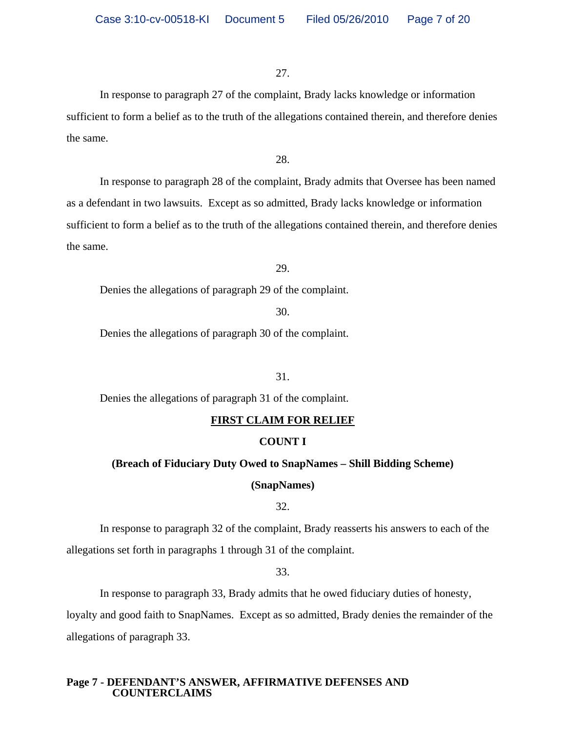In response to paragraph 27 of the complaint, Brady lacks knowledge or information sufficient to form a belief as to the truth of the allegations contained therein, and therefore denies the same.

28.

In response to paragraph 28 of the complaint, Brady admits that Oversee has been named as a defendant in two lawsuits. Except as so admitted, Brady lacks knowledge or information sufficient to form a belief as to the truth of the allegations contained therein, and therefore denies the same.

29.

Denies the allegations of paragraph 29 of the complaint.

30.

Denies the allegations of paragraph 30 of the complaint.

31.

Denies the allegations of paragraph 31 of the complaint.

### **FIRST CLAIM FOR RELIEF**

### **COUNT I**

#### **(Breach of Fiduciary Duty Owed to SnapNames – Shill Bidding Scheme)**

### **(SnapNames)**

32.

In response to paragraph 32 of the complaint, Brady reasserts his answers to each of the allegations set forth in paragraphs 1 through 31 of the complaint.

33.

In response to paragraph 33, Brady admits that he owed fiduciary duties of honesty,

loyalty and good faith to SnapNames. Except as so admitted, Brady denies the remainder of the allegations of paragraph 33.

### **Page 7 - DEFENDANT'S ANSWER, AFFIRMATIVE DEFENSES AND COUNTERCLAIMS**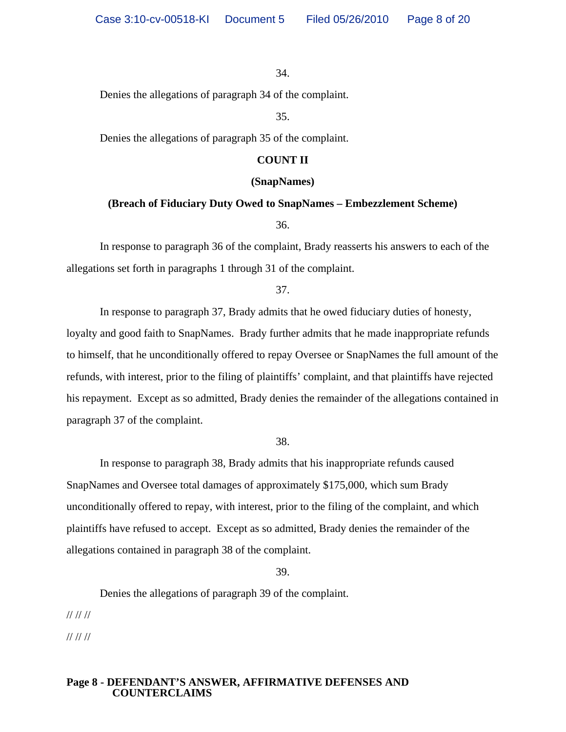Denies the allegations of paragraph 34 of the complaint.

35.

Denies the allegations of paragraph 35 of the complaint.

### **COUNT II**

### **(SnapNames)**

## **(Breach of Fiduciary Duty Owed to SnapNames – Embezzlement Scheme)**

36.

In response to paragraph 36 of the complaint, Brady reasserts his answers to each of the allegations set forth in paragraphs 1 through 31 of the complaint.

37.

In response to paragraph 37, Brady admits that he owed fiduciary duties of honesty, loyalty and good faith to SnapNames. Brady further admits that he made inappropriate refunds to himself, that he unconditionally offered to repay Oversee or SnapNames the full amount of the refunds, with interest, prior to the filing of plaintiffs' complaint, and that plaintiffs have rejected his repayment. Except as so admitted, Brady denies the remainder of the allegations contained in paragraph 37 of the complaint.

38.

In response to paragraph 38, Brady admits that his inappropriate refunds caused SnapNames and Oversee total damages of approximately \$175,000, which sum Brady unconditionally offered to repay, with interest, prior to the filing of the complaint, and which plaintiffs have refused to accept. Except as so admitted, Brady denies the remainder of the allegations contained in paragraph 38 of the complaint.

39.

Denies the allegations of paragraph 39 of the complaint.

// // //

// // //

### **Page 8 - DEFENDANT'S ANSWER, AFFIRMATIVE DEFENSES AND COUNTERCLAIMS**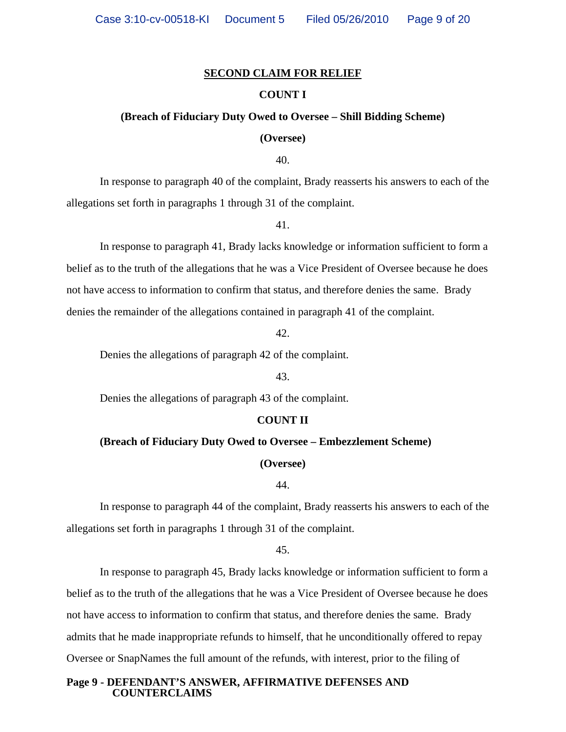### **SECOND CLAIM FOR RELIEF**

### **COUNT I**

### **(Breach of Fiduciary Duty Owed to Oversee – Shill Bidding Scheme)**

#### **(Oversee)**

40.

In response to paragraph 40 of the complaint, Brady reasserts his answers to each of the allegations set forth in paragraphs 1 through 31 of the complaint.

41.

In response to paragraph 41, Brady lacks knowledge or information sufficient to form a belief as to the truth of the allegations that he was a Vice President of Oversee because he does not have access to information to confirm that status, and therefore denies the same. Brady denies the remainder of the allegations contained in paragraph 41 of the complaint.

42.

Denies the allegations of paragraph 42 of the complaint.

### 43.

Denies the allegations of paragraph 43 of the complaint.

#### **COUNT II**

### **(Breach of Fiduciary Duty Owed to Oversee – Embezzlement Scheme)**

**(Oversee)**

44.

 In response to paragraph 44 of the complaint, Brady reasserts his answers to each of the allegations set forth in paragraphs 1 through 31 of the complaint.

45.

 In response to paragraph 45, Brady lacks knowledge or information sufficient to form a belief as to the truth of the allegations that he was a Vice President of Oversee because he does not have access to information to confirm that status, and therefore denies the same. Brady admits that he made inappropriate refunds to himself, that he unconditionally offered to repay Oversee or SnapNames the full amount of the refunds, with interest, prior to the filing of

### **Page 9 - DEFENDANT'S ANSWER, AFFIRMATIVE DEFENSES AND COUNTERCLAIMS**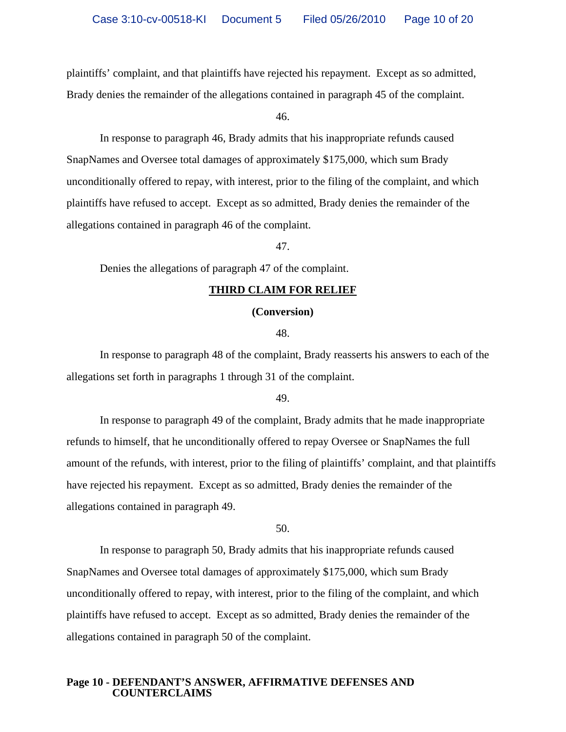plaintiffs' complaint, and that plaintiffs have rejected his repayment. Except as so admitted,

Brady denies the remainder of the allegations contained in paragraph 45 of the complaint.

46.

 In response to paragraph 46, Brady admits that his inappropriate refunds caused SnapNames and Oversee total damages of approximately \$175,000, which sum Brady unconditionally offered to repay, with interest, prior to the filing of the complaint, and which plaintiffs have refused to accept. Except as so admitted, Brady denies the remainder of the allegations contained in paragraph 46 of the complaint.

47.

Denies the allegations of paragraph 47 of the complaint.

### **THIRD CLAIM FOR RELIEF**

#### **(Conversion)**

48.

 In response to paragraph 48 of the complaint, Brady reasserts his answers to each of the allegations set forth in paragraphs 1 through 31 of the complaint.

49.

In response to paragraph 49 of the complaint, Brady admits that he made inappropriate refunds to himself, that he unconditionally offered to repay Oversee or SnapNames the full amount of the refunds, with interest, prior to the filing of plaintiffs' complaint, and that plaintiffs have rejected his repayment. Except as so admitted, Brady denies the remainder of the allegations contained in paragraph 49.

50.

In response to paragraph 50, Brady admits that his inappropriate refunds caused SnapNames and Oversee total damages of approximately \$175,000, which sum Brady unconditionally offered to repay, with interest, prior to the filing of the complaint, and which plaintiffs have refused to accept. Except as so admitted, Brady denies the remainder of the allegations contained in paragraph 50 of the complaint.

### **Page 10 - DEFENDANT'S ANSWER, AFFIRMATIVE DEFENSES AND COUNTERCLAIMS**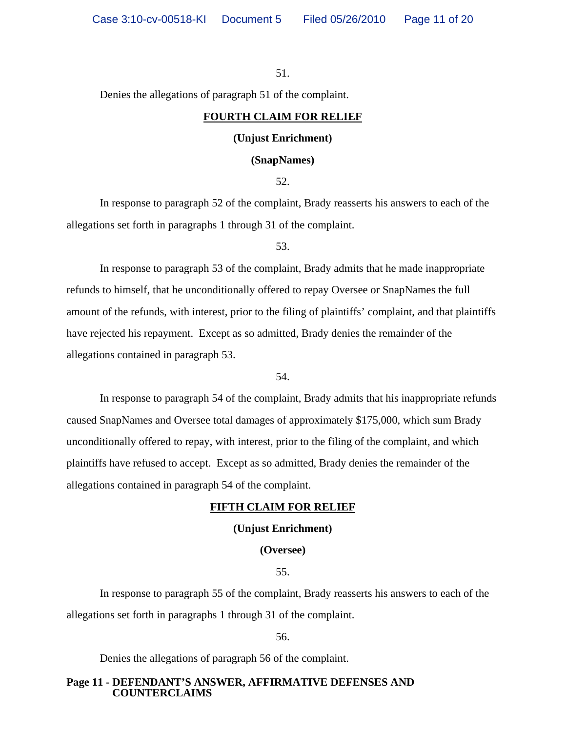Denies the allegations of paragraph 51 of the complaint.

### **FOURTH CLAIM FOR RELIEF**

### **(Unjust Enrichment)**

#### **(SnapNames)**

52.

 In response to paragraph 52 of the complaint, Brady reasserts his answers to each of the allegations set forth in paragraphs 1 through 31 of the complaint.

53.

In response to paragraph 53 of the complaint, Brady admits that he made inappropriate refunds to himself, that he unconditionally offered to repay Oversee or SnapNames the full amount of the refunds, with interest, prior to the filing of plaintiffs' complaint, and that plaintiffs have rejected his repayment. Except as so admitted, Brady denies the remainder of the allegations contained in paragraph 53.

54.

 In response to paragraph 54 of the complaint, Brady admits that his inappropriate refunds caused SnapNames and Oversee total damages of approximately \$175,000, which sum Brady unconditionally offered to repay, with interest, prior to the filing of the complaint, and which plaintiffs have refused to accept. Except as so admitted, Brady denies the remainder of the allegations contained in paragraph 54 of the complaint.

#### **FIFTH CLAIM FOR RELIEF**

### **(Unjust Enrichment)**

**(Oversee)**

55.

In response to paragraph 55 of the complaint, Brady reasserts his answers to each of the allegations set forth in paragraphs 1 through 31 of the complaint.

56.

Denies the allegations of paragraph 56 of the complaint.

### **Page 11 - DEFENDANT'S ANSWER, AFFIRMATIVE DEFENSES AND COUNTERCLAIMS**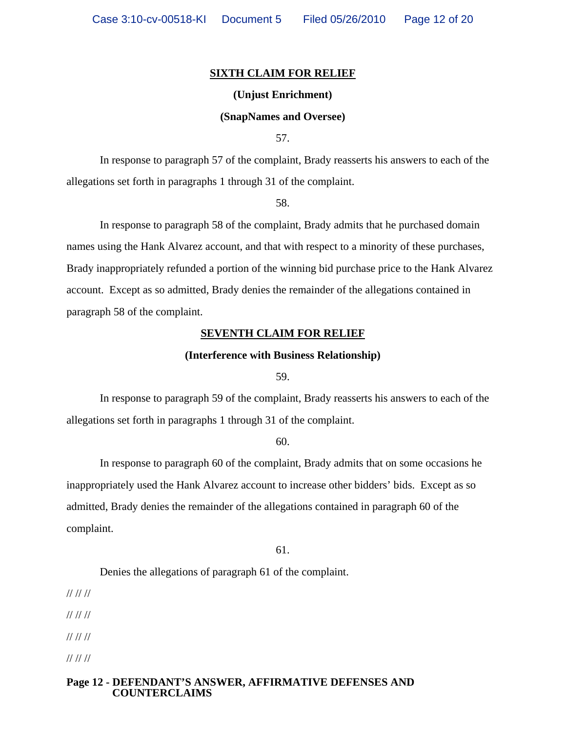### **SIXTH CLAIM FOR RELIEF**

#### **(Unjust Enrichment)**

### **(SnapNames and Oversee)**

57.

In response to paragraph 57 of the complaint, Brady reasserts his answers to each of the allegations set forth in paragraphs 1 through 31 of the complaint.

58.

 In response to paragraph 58 of the complaint, Brady admits that he purchased domain names using the Hank Alvarez account, and that with respect to a minority of these purchases, Brady inappropriately refunded a portion of the winning bid purchase price to the Hank Alvarez account. Except as so admitted, Brady denies the remainder of the allegations contained in paragraph 58 of the complaint.

#### **SEVENTH CLAIM FOR RELIEF**

### **(Interference with Business Relationship)**

59.

In response to paragraph 59 of the complaint, Brady reasserts his answers to each of the allegations set forth in paragraphs 1 through 31 of the complaint.

60.

 In response to paragraph 60 of the complaint, Brady admits that on some occasions he inappropriately used the Hank Alvarez account to increase other bidders' bids. Except as so admitted, Brady denies the remainder of the allegations contained in paragraph 60 of the complaint.

61.

Denies the allegations of paragraph 61 of the complaint.

// // //

// // //

// // //

// // //

### **Page 12 - DEFENDANT'S ANSWER, AFFIRMATIVE DEFENSES AND COUNTERCLAIMS**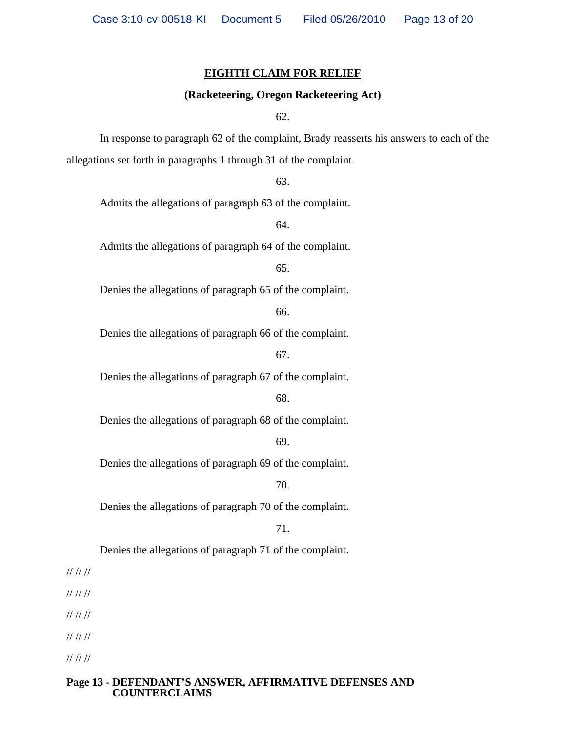### **EIGHTH CLAIM FOR RELIEF**

### **(Racketeering, Oregon Racketeering Act)**

62.

In response to paragraph 62 of the complaint, Brady reasserts his answers to each of the allegations set forth in paragraphs 1 through 31 of the complaint.

63.

Admits the allegations of paragraph 63 of the complaint.

64.

Admits the allegations of paragraph 64 of the complaint.

65.

Denies the allegations of paragraph 65 of the complaint.

66.

Denies the allegations of paragraph 66 of the complaint.

67.

Denies the allegations of paragraph 67 of the complaint.

68.

Denies the allegations of paragraph 68 of the complaint.

69.

Denies the allegations of paragraph 69 of the complaint.

70.

Denies the allegations of paragraph 70 of the complaint.

71.

Denies the allegations of paragraph 71 of the complaint.

// // //

// // //

// // //

// // //

// // //

### **Page 13 - DEFENDANT'S ANSWER, AFFIRMATIVE DEFENSES AND COUNTERCLAIMS**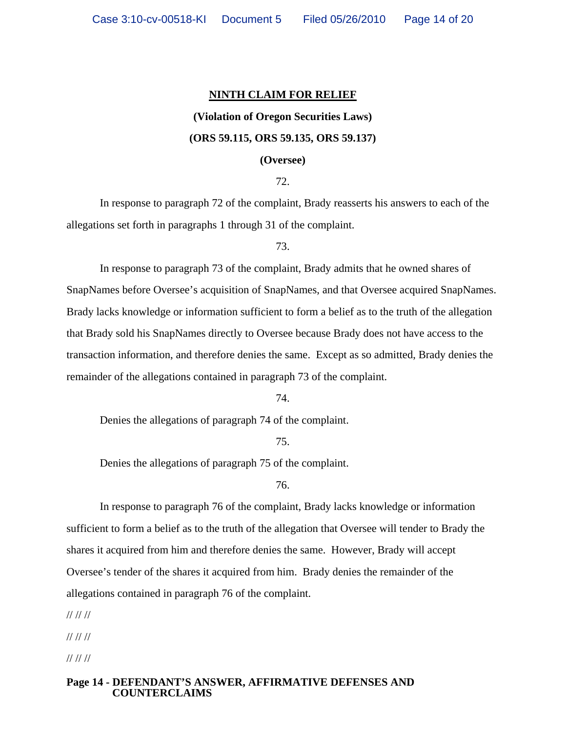### **NINTH CLAIM FOR RELIEF**

# **(Violation of Oregon Securities Laws) (ORS 59.115, ORS 59.135, ORS 59.137)**

### **(Oversee)**

72.

In response to paragraph 72 of the complaint, Brady reasserts his answers to each of the allegations set forth in paragraphs 1 through 31 of the complaint.

73.

 In response to paragraph 73 of the complaint, Brady admits that he owned shares of SnapNames before Oversee's acquisition of SnapNames, and that Oversee acquired SnapNames. Brady lacks knowledge or information sufficient to form a belief as to the truth of the allegation that Brady sold his SnapNames directly to Oversee because Brady does not have access to the transaction information, and therefore denies the same. Except as so admitted, Brady denies the remainder of the allegations contained in paragraph 73 of the complaint.

74.

Denies the allegations of paragraph 74 of the complaint.

75.

Denies the allegations of paragraph 75 of the complaint.

76.

 In response to paragraph 76 of the complaint, Brady lacks knowledge or information sufficient to form a belief as to the truth of the allegation that Oversee will tender to Brady the shares it acquired from him and therefore denies the same. However, Brady will accept Oversee's tender of the shares it acquired from him. Brady denies the remainder of the allegations contained in paragraph 76 of the complaint.

// // //

// // //

// // //

### **Page 14 - DEFENDANT'S ANSWER, AFFIRMATIVE DEFENSES AND COUNTERCLAIMS**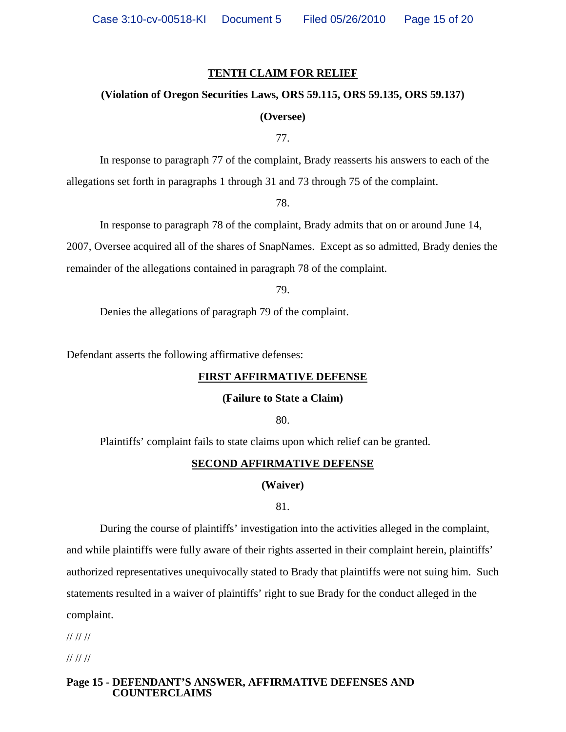### **TENTH CLAIM FOR RELIEF**

### **(Violation of Oregon Securities Laws, ORS 59.115, ORS 59.135, ORS 59.137)**

### **(Oversee)**

77.

 In response to paragraph 77 of the complaint, Brady reasserts his answers to each of the allegations set forth in paragraphs 1 through 31 and 73 through 75 of the complaint.

78.

 In response to paragraph 78 of the complaint, Brady admits that on or around June 14, 2007, Oversee acquired all of the shares of SnapNames. Except as so admitted, Brady denies the remainder of the allegations contained in paragraph 78 of the complaint.

79.

Denies the allegations of paragraph 79 of the complaint.

Defendant asserts the following affirmative defenses:

### **FIRST AFFIRMATIVE DEFENSE**

### **(Failure to State a Claim)**

80.

Plaintiffs' complaint fails to state claims upon which relief can be granted.

### **SECOND AFFIRMATIVE DEFENSE**

**(Waiver)**

81.

 During the course of plaintiffs' investigation into the activities alleged in the complaint, and while plaintiffs were fully aware of their rights asserted in their complaint herein, plaintiffs' authorized representatives unequivocally stated to Brady that plaintiffs were not suing him. Such statements resulted in a waiver of plaintiffs' right to sue Brady for the conduct alleged in the complaint.

// // //

// // //

### **Page 15 - DEFENDANT'S ANSWER, AFFIRMATIVE DEFENSES AND COUNTERCLAIMS**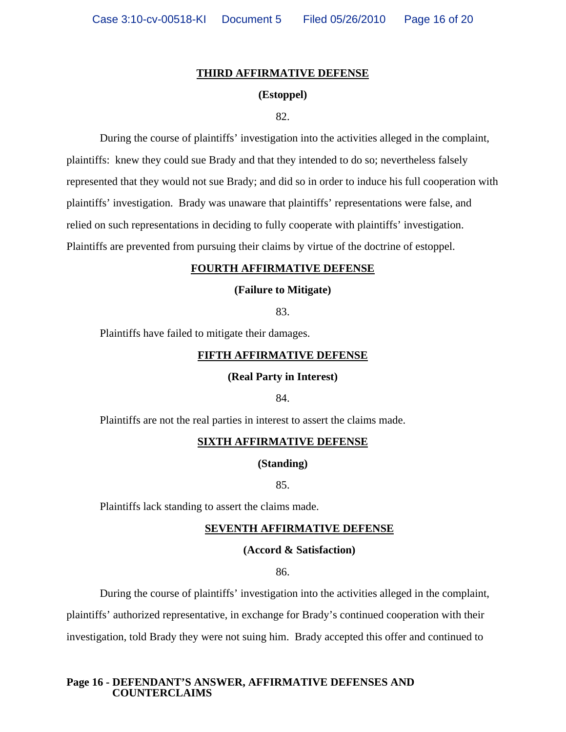### **THIRD AFFIRMATIVE DEFENSE**

### **(Estoppel)**

82.

During the course of plaintiffs' investigation into the activities alleged in the complaint, plaintiffs: knew they could sue Brady and that they intended to do so; nevertheless falsely represented that they would not sue Brady; and did so in order to induce his full cooperation with plaintiffs' investigation. Brady was unaware that plaintiffs' representations were false, and relied on such representations in deciding to fully cooperate with plaintiffs' investigation. Plaintiffs are prevented from pursuing their claims by virtue of the doctrine of estoppel.

### **FOURTH AFFIRMATIVE DEFENSE**

### **(Failure to Mitigate)**

83.

Plaintiffs have failed to mitigate their damages.

### **FIFTH AFFIRMATIVE DEFENSE**

### **(Real Party in Interest)**

84.

Plaintiffs are not the real parties in interest to assert the claims made.

### **SIXTH AFFIRMATIVE DEFENSE**

#### **(Standing)**

85.

Plaintiffs lack standing to assert the claims made.

### **SEVENTH AFFIRMATIVE DEFENSE**

### **(Accord & Satisfaction)**

86.

 During the course of plaintiffs' investigation into the activities alleged in the complaint, plaintiffs' authorized representative, in exchange for Brady's continued cooperation with their investigation, told Brady they were not suing him. Brady accepted this offer and continued to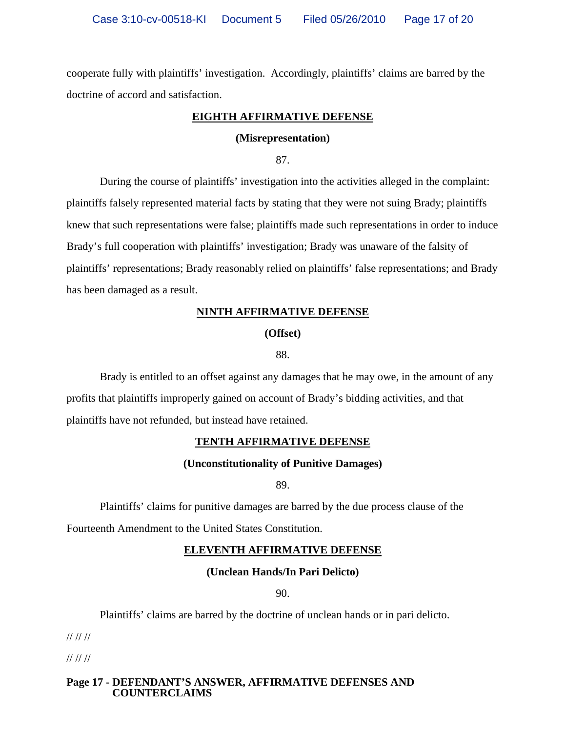cooperate fully with plaintiffs' investigation. Accordingly, plaintiffs' claims are barred by the doctrine of accord and satisfaction.

### **EIGHTH AFFIRMATIVE DEFENSE**

### **(Misrepresentation)**

87.

During the course of plaintiffs' investigation into the activities alleged in the complaint: plaintiffs falsely represented material facts by stating that they were not suing Brady; plaintiffs knew that such representations were false; plaintiffs made such representations in order to induce Brady's full cooperation with plaintiffs' investigation; Brady was unaware of the falsity of plaintiffs' representations; Brady reasonably relied on plaintiffs' false representations; and Brady has been damaged as a result.

### **NINTH AFFIRMATIVE DEFENSE**

**(Offset)**

88.

Brady is entitled to an offset against any damages that he may owe, in the amount of any profits that plaintiffs improperly gained on account of Brady's bidding activities, and that plaintiffs have not refunded, but instead have retained.

### **TENTH AFFIRMATIVE DEFENSE**

### **(Unconstitutionality of Punitive Damages)**

89.

Plaintiffs' claims for punitive damages are barred by the due process clause of the Fourteenth Amendment to the United States Constitution.

### **ELEVENTH AFFIRMATIVE DEFENSE**

**(Unclean Hands/In Pari Delicto)**

90.

Plaintiffs' claims are barred by the doctrine of unclean hands or in pari delicto.

// // //

// // //

### **Page 17 - DEFENDANT'S ANSWER, AFFIRMATIVE DEFENSES AND COUNTERCLAIMS**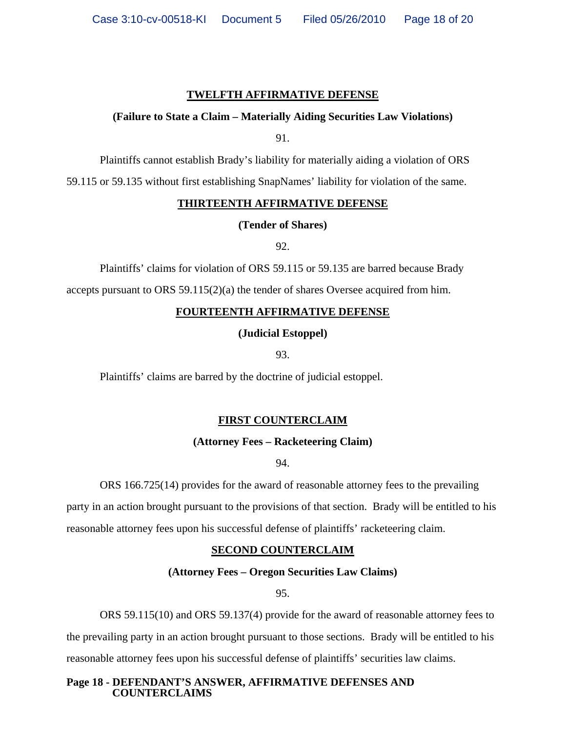### **TWELFTH AFFIRMATIVE DEFENSE**

### **(Failure to State a Claim – Materially Aiding Securities Law Violations)**

91.

Plaintiffs cannot establish Brady's liability for materially aiding a violation of ORS

59.115 or 59.135 without first establishing SnapNames' liability for violation of the same.

### **THIRTEENTH AFFIRMATIVE DEFENSE**

**(Tender of Shares)**

92.

Plaintiffs' claims for violation of ORS 59.115 or 59.135 are barred because Brady

accepts pursuant to ORS  $59.115(2)(a)$  the tender of shares Oversee acquired from him.

### **FOURTEENTH AFFIRMATIVE DEFENSE**

### **(Judicial Estoppel)**

93.

Plaintiffs' claims are barred by the doctrine of judicial estoppel.

### **FIRST COUNTERCLAIM**

### **(Attorney Fees – Racketeering Claim)**

94.

ORS 166.725(14) provides for the award of reasonable attorney fees to the prevailing

party in an action brought pursuant to the provisions of that section. Brady will be entitled to his reasonable attorney fees upon his successful defense of plaintiffs' racketeering claim.

### **SECOND COUNTERCLAIM**

### **(Attorney Fees – Oregon Securities Law Claims)**

95.

 ORS 59.115(10) and ORS 59.137(4) provide for the award of reasonable attorney fees to the prevailing party in an action brought pursuant to those sections. Brady will be entitled to his reasonable attorney fees upon his successful defense of plaintiffs' securities law claims.

**Page 18 - DEFENDANT'S ANSWER, AFFIRMATIVE DEFENSES AND COUNTERCLAIMS**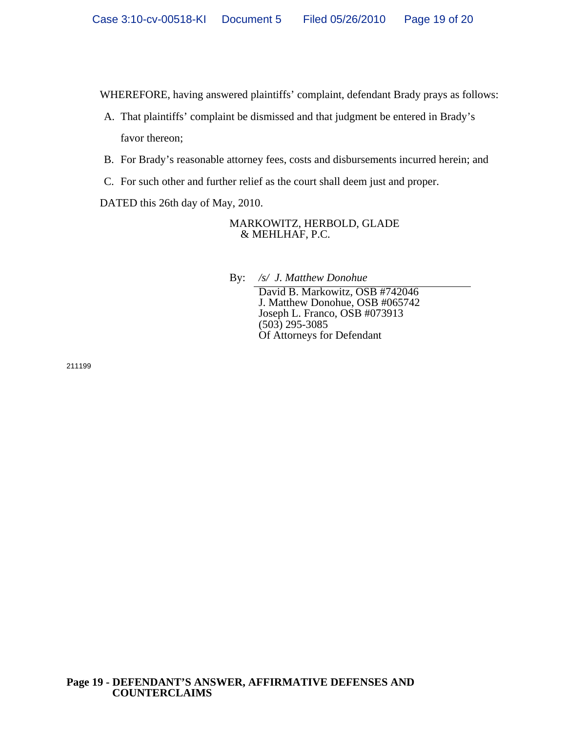WHEREFORE, having answered plaintiffs' complaint, defendant Brady prays as follows:

- A. That plaintiffs' complaint be dismissed and that judgment be entered in Brady's favor thereon;
- B. For Brady's reasonable attorney fees, costs and disbursements incurred herein; and
- C. For such other and further relief as the court shall deem just and proper.

DATED this 26th day of May, 2010.

MARKOWITZ, HERBOLD, GLADE & MEHLHAF, P.C.

By: */s/ J. Matthew Donohue*

David B. Markowitz, OSB #742046 J. Matthew Donohue, OSB #065742 Joseph L. Franco, OSB #073913 (503) 295-3085 Of Attorneys for Defendant

211199